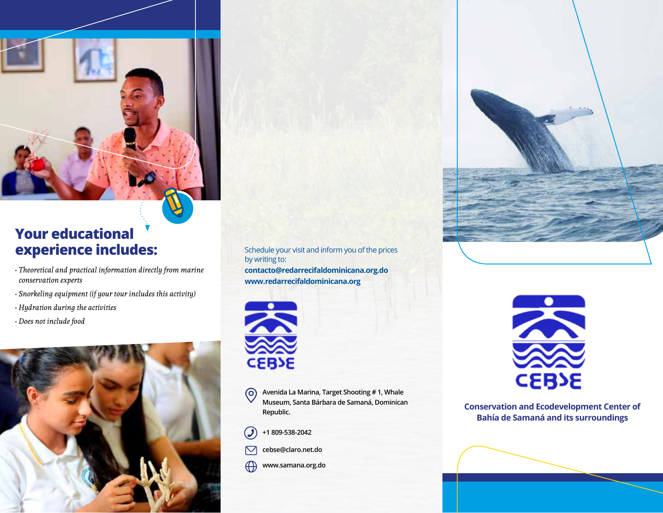

# **Your educational experience includes:** Schedule your visit and inform you of the prices

- *Theoretical and practical information directly from marine conservation experts*
- *Snorkeling equipment (if your tour includes this activity)*
- *Hydration during the activities*
- *Does not include food*



by writing to: **contacto@redarrecifaldominicana.org.do www.redarrecifaldominicana.org**



**Avenida La Marina, Target Shooting # 1, Whale**   $\odot$ **Museum, Santa Bárbara de Samaná, Dominican Republic.**



- **cebse@claro.net.do**  $\mathbin{\boxdot}$
- $\bigoplus$ **www.samana.org.do**



**Conservation and Ecodevelopment Center of Bahía de Samaná and its surroundings**